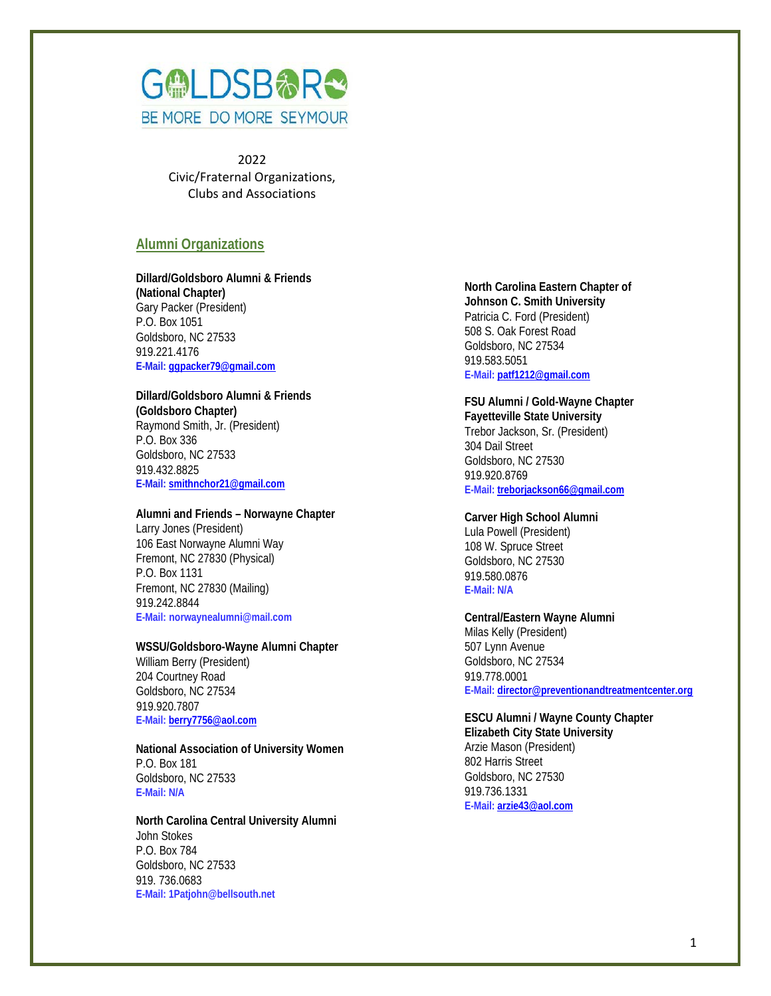

2022 Civic/Fraternal Organizations, Clubs and Associations

# **Alumni Organizations**

**Dillard/Goldsboro Alumni & Friends (National Chapter)** Gary Packer (President) P.O. Box 1051 Goldsboro, NC 27533 919.221.4176 **E-Mail: [ggpacker79@gmail.com](mailto:ggpacker79@gmail.com)**

# **Dillard/Goldsboro Alumni & Friends**

**(Goldsboro Chapter)** Raymond Smith, Jr. (President) P.O. Box 336 Goldsboro, NC 27533 919.432.8825 **E-Mail[: smithnchor21@gmail.com](mailto:smithnchor21@gmail.com)**

## **Alumni and Friends – Norwayne Chapter**

Larry Jones (President) 106 East Norwayne Alumni Way Fremont, NC 27830 (Physical) P.O. Box 1131 Fremont, NC 27830 (Mailing) 919.242.8844 **E-Mail: norwaynealumni@mail.com**

## **WSSU/Goldsboro-Wayne Alumni Chapter**

William Berry (President) 204 Courtney Road Goldsboro, NC 27534 919.920.7807 **E-Mail[: berry7756@aol.com](mailto:berry7756@aol.com)**

#### **National Association of University Women** P.O. Box 181 Goldsboro, NC 27533 **E-Mail: N/A**

**North Carolina Central University Alumni** John Stokes P.O. Box 784 Goldsboro, NC 27533 919. 736.0683 **E-Mail: 1Patjohn@bellsouth.net**

**North Carolina Eastern Chapter of Johnson C. Smith University** Patricia C. Ford (President) 508 S. Oak Forest Road Goldsboro, NC 27534 919.583.5051 **E-Mail: [patf1212@gmail.com](mailto:patf1212@gmail.com)**

**FSU Alumni / Gold-Wayne Chapter Fayetteville State University** Trebor Jackson, Sr. (President) 304 Dail Street Goldsboro, NC 27530 919.920.8769 **E-Mail: [treborjackson66@gmail.com](mailto:treborjackson66@gmail.com)**

**Carver High School Alumni** Lula Powell (President) 108 W. Spruce Street Goldsboro, NC 27530 919.580.0876 **E-Mail: N/A**

#### **Central/Eastern Wayne Alumni**

Milas Kelly (President) 507 Lynn Avenue Goldsboro, NC 27534 919.778.0001 **E-Mail: [director@preventionandtreatmentcenter.org](mailto:director@preventionandtreatmentcenter.org)**

#### **ESCU Alumni / Wayne County Chapter Elizabeth City State University**

Arzie Mason (President) 802 Harris Street Goldsboro, NC 27530 919.736.1331 **E-Mail: [arzie43@aol.com](mailto:arzie43@aol.com)**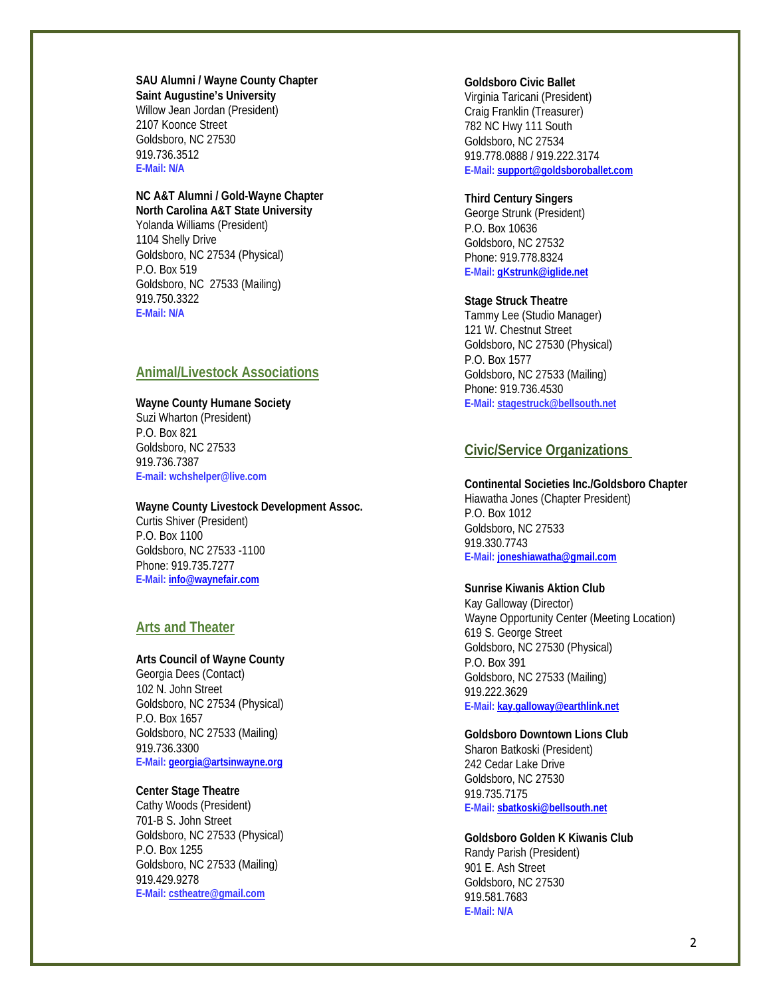**SAU Alumni / Wayne County Chapter Saint Augustine's University** Willow Jean Jordan (President) 2107 Koonce Street Goldsboro, NC 27530 919.736.3512 **E-Mail: N/A**

#### **NC A&T Alumni / Gold-Wayne Chapter North Carolina A&T State University**

Yolanda Williams (President) 1104 Shelly Drive Goldsboro, NC 27534 (Physical) P.O. Box 519 Goldsboro, NC 27533 (Mailing) 919.750.3322 **E-Mail: N/A**

# **Animal/Livestock Associations**

**Wayne County Humane Society** Suzi Wharton (President) P.O. Box 821 Goldsboro, NC 27533 919.736.7387 **E-mail: wchshelper@live.com**

## **Wayne County Livestock Development Assoc.**  Curtis Shiver (President) P.O. Box 1100 Goldsboro, NC 27533 -1100 Phone: 919.735.7277 **E-Mail[: info@waynefair.com](mailto:info@waynefair.com)**

# **Arts and Theater**

## **Arts Council of Wayne County**

Georgia Dees (Contact) 102 N. John Street Goldsboro, NC 27534 (Physical) P.O. Box 1657 Goldsboro, NC 27533 (Mailing) 919.736.3300 **E-Mail[: georgia@artsinwayne.org](mailto:georgia@artsinwayne.org)**

## **Center Stage Theatre**

Cathy Woods (President) 701-B S. John Street Goldsboro, NC 27533 (Physical) P.O. Box 1255 Goldsboro, NC 27533 (Mailing) 919.429.9278 **E-Mail[: cstheatre@gmail.com](mailto:cstheatre@gmail.com)**

#### **Goldsboro Civic Ballet**

Virginia Taricani (President) Craig Franklin (Treasurer) 782 NC Hwy 111 South Goldsboro, NC 27534 919.778.0888 / 919.222.3174 **E-Mail[: support@goldsboroballet.com](mailto:support@goldsboroballet.com)**

## **Third Century Singers**

George Strunk (President) P.O. Box 10636 Goldsboro, NC 27532 Phone: 919.778.8324 **E-Mail[: gKstrunk@iglide.net](mailto:gKstrunk@iglide.net)**

## **Stage Struck Theatre**

Tammy Lee (Studio Manager) 121 W. Chestnut Street Goldsboro, NC 27530 (Physical) P.O. Box 1577 Goldsboro, NC 27533 (Mailing) Phone: 919.736.4530 **E-Mail[: stagestruck@bellsouth.net](mailto:stagestruck@bellsouth.net)**

# **Civic/Service Organizations**

## **Continental Societies Inc./Goldsboro Chapter**

Hiawatha Jones (Chapter President) P.O. Box 1012 Goldsboro, NC 27533 919.330.7743 **E-Mail[: joneshiawatha@gmail.com](mailto:joneshiawatha@gmail.com)**

## **Sunrise Kiwanis Aktion Club**

Kay Galloway (Director) Wayne Opportunity Center (Meeting Location) 619 S. George Street Goldsboro, NC 27530 (Physical) P.O. Box 391 Goldsboro, NC 27533 (Mailing) 919.222.3629 **E-Mail[: kay.galloway@earthlink.net](mailto:kay.galloway@earthlink.net)**

#### **Goldsboro Downtown Lions Club**

Sharon Batkoski (President) 242 Cedar Lake Drive Goldsboro, NC 27530 919.735.7175 **E-Mail[: sbatkoski@bellsouth.net](mailto:sbatkoski@bellsouth.net)**

# **Goldsboro Golden K Kiwanis Club**

Randy Parish (President) 901 E. Ash Street Goldsboro, NC 27530 919.581.7683 **E-Mail: N/A**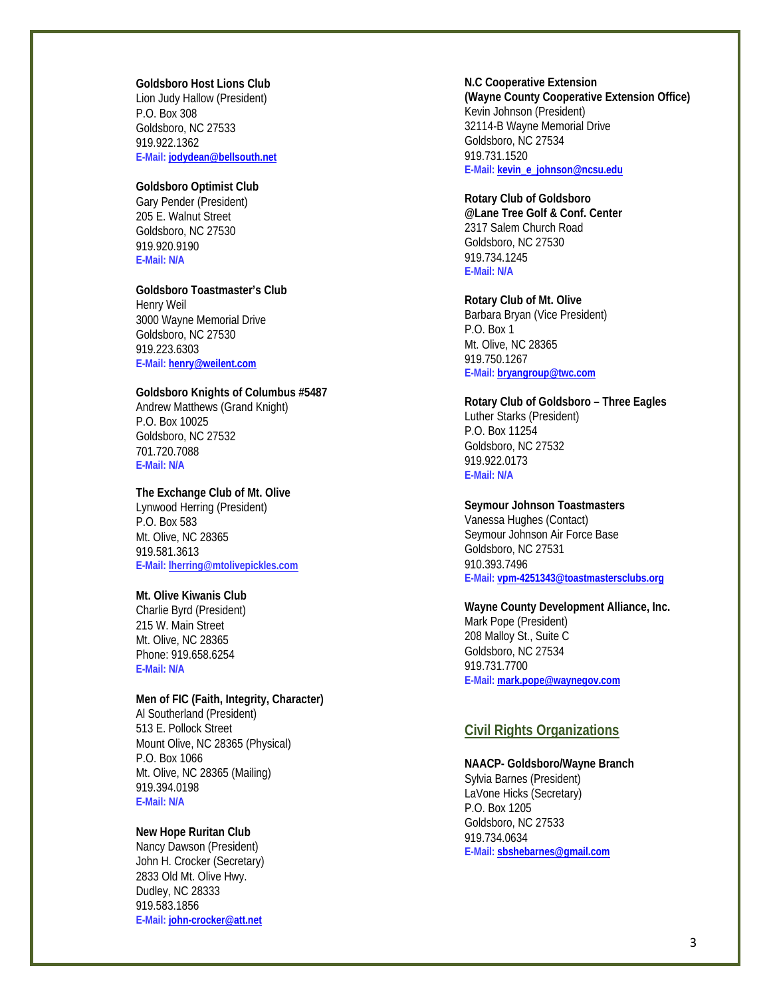## **Goldsboro Host Lions Club**

Lion Judy Hallow (President) P.O. Box 308 Goldsboro, NC 27533 919.922.1362 **E-Mail[: jodydean@bellsouth.net](mailto:jodydean@bellsouth.net)**

# **Goldsboro Optimist Club**

Gary Pender (President) 205 E. Walnut Street Goldsboro, NC 27530 919.920.9190 **E-Mail: N/A**

### **Goldsboro Toastmaster's Club**

Henry Weil 3000 Wayne Memorial Drive Goldsboro, NC 27530 919.223.6303 **E-Mail[: henry@weilent.com](mailto:henry@weilent.com)**

#### **Goldsboro Knights of Columbus #5487**

Andrew Matthews (Grand Knight) P.O. Box 10025 Goldsboro, NC 27532 701.720.7088 **E-Mail: N/A**

#### **The Exchange Club of Mt. Olive**

Lynwood Herring (President) P.O. Box 583 Mt. Olive, NC 28365 919.581.3613 **E-Mail[: lherring@mtolivepickles.com](mailto:lherring@mtolivepickles.com)**

## **Mt. Olive Kiwanis Club**

Charlie Byrd (President) 215 W. Main Street Mt. Olive, NC 28365 Phone: 919.658.6254 **E-Mail: N/A**

### **Men of FIC (Faith, Integrity, Character)**

Al Southerland (President) 513 E. Pollock Street Mount Olive, NC 28365 (Physical) P.O. Box 1066 Mt. Olive, NC 28365 (Mailing) 919.394.0198 **E-Mail: N/A**

# **New Hope Ruritan Club**

Nancy Dawson (President) John H. Crocker (Secretary) 2833 Old Mt. Olive Hwy. Dudley, NC 28333 919.583.1856 **E-Mail[: john-crocker@att.net](mailto:john-crocker@att.net)**

## **N.C Cooperative Extension (Wayne County Cooperative Extension Office)** Kevin Johnson (President) 32114-B Wayne Memorial Drive Goldsboro, NC 27534 919.731.1520 **E-Mail[: kevin\\_e\\_johnson@ncsu.edu](mailto:kevin_e_johnson@ncsu.edu)**

#### **Rotary Club of Goldsboro**

**@Lane Tree Golf & Conf. Center** 2317 Salem Church Road Goldsboro, NC 27530 919.734.1245 **E-Mail: N/A**

#### **Rotary Club of Mt. Olive**

Barbara Bryan (Vice President) P.O. Box 1 Mt. Olive, NC 28365 919.750.1267 **E-Mail: [bryangroup@twc.com](mailto:bryangroup@twc.com)**

## **Rotary Club of Goldsboro – Three Eagles**

Luther Starks (President) P.O. Box 11254 Goldsboro, NC 27532 919.922.0173 **E-Mail: N/A**

#### **Seymour Johnson Toastmasters**

Vanessa Hughes (Contact) Seymour Johnson Air Force Base Goldsboro, NC 27531 910.393.7496 **E-Mail[: vpm-4251343@toastmastersclubs.org](mailto:vpm-4251343@toastmastersclubs.org)**

#### **Wayne County Development Alliance, Inc.**

Mark Pope (President) 208 Malloy St., Suite C Goldsboro, NC 27534 919.731.7700 **E-Mail[: mark.pope@waynegov.com](mailto:mark.pope@waynegov.com)**

## **Civil Rights Organizations**

### **NAACP- Goldsboro/Wayne Branch**

Sylvia Barnes (President) LaVone Hicks (Secretary) P.O. Box 1205 Goldsboro, NC 27533 919.734.0634 **E-Mail[: sbshebarnes@gmail.com](mailto:sbshebarnes@gmail.com)**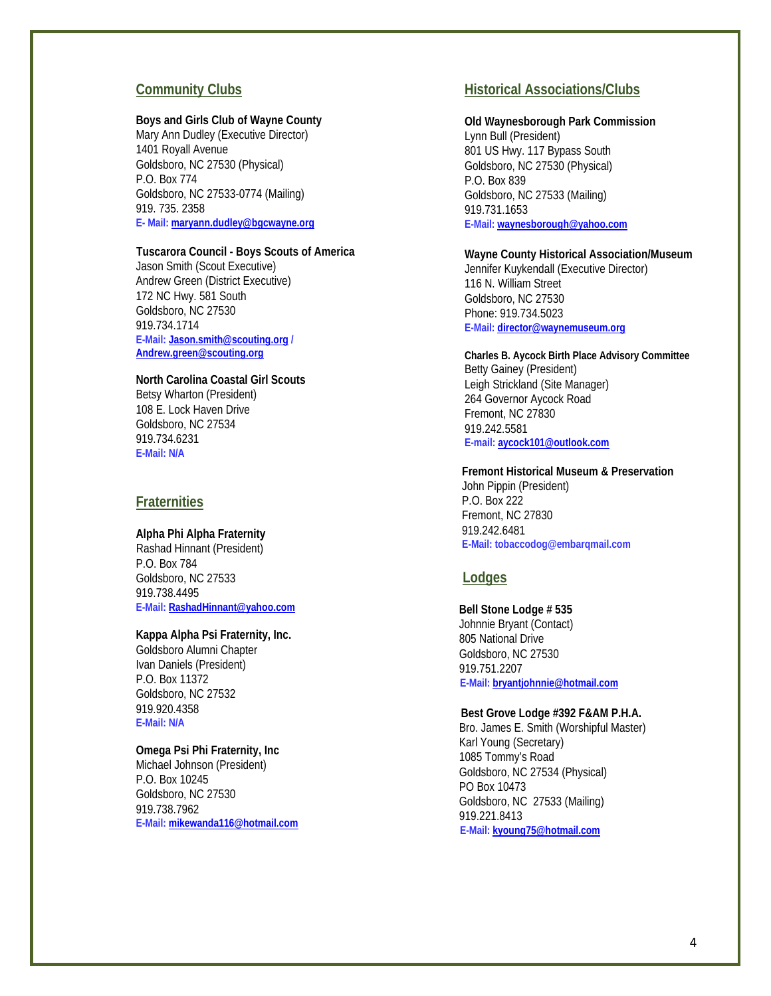# **Community Clubs**

#### **Boys and Girls Club of Wayne County**

Mary Ann Dudley (Executive Director) 1401 Royall Avenue Goldsboro, NC 27530 (Physical) P.O. Box 774 Goldsboro, NC 27533-0774 (Mailing) 919. 735. 2358 **E- Mail[: maryann.dudley@bgcwayne.org](mailto:maryann.dudley@bgcwayne.org)**

#### **Tuscarora Council - Boys Scouts of America**

Jason Smith (Scout Executive) Andrew Green (District Executive) 172 NC Hwy. 581 South Goldsboro, NC 27530 919.734.1714 **E-Mail[: Jason.smith@scouting.org](mailto:Jason.smith@scouting.org) / [Andrew.green@scouting.org](mailto:Andrew.green@scouting.org)**

### **North Carolina Coastal Girl Scouts**

Betsy Wharton (President) 108 E. Lock Haven Drive Goldsboro, NC 27534 919.734.6231 **E-Mail: N/A**

## **Fraternities**

#### **Alpha Phi Alpha Fraternity**

 Rashad Hinnant (President) P.O. Box 784 Goldsboro, NC 27533 919.738.4495 **E-Mail[: RashadHinnant@yahoo.com](mailto:RashadHinnant@yahoo.com)**

## **Kappa Alpha Psi Fraternity, Inc.**

Goldsboro Alumni Chapter Ivan Daniels (President) P.O. Box 11372 Goldsboro, NC 27532 919.920.4358 **E-Mail: N/A**

## **Omega Psi Phi Fraternity, Inc**

Michael Johnson (President) P.O. Box 10245 Goldsboro, NC 27530 919.738.7962 **E-Mail[: mikewanda116@hotmail.com](mailto:mikewanda116@hotmail.com)**

# **Historical Associations/Clubs**

## **Old Waynesborough Park Commission**

Lynn Bull (President) 801 US Hwy. 117 Bypass South Goldsboro, NC 27530 (Physical) P.O. Box 839 Goldsboro, NC 27533 (Mailing) 919.731.1653 **E-Mail[: waynesborough@yahoo.com](mailto:waynesborough@yahoo.com)**

## **Wayne County Historical Association/Museum**

Jennifer Kuykendall (Executive Director) 116 N. William Street Goldsboro, NC 27530 Phone: 919.734.5023 **E-Mail[: director@waynemuseum.org](mailto:director@waynemuseum.org)**

#### **Charles B. Aycock Birth Place Advisory Committee**

Betty Gainey (President) Leigh Strickland (Site Manager) 264 Governor Aycock Road Fremont, NC 27830 919.242.5581 **E-mail[: aycock101@outlook.com](mailto:aycock101@outlook.com)**

## **Fremont Historical Museum & Preservation**

John Pippin (President) P.O. Box 222 Fremont, NC 27830 919.242.6481 **E-Mail[: tobaccodog@embarqmail.com](mailto:tobaccodog@embarqmail.com)**

# **Lodges**

 **Bell Stone Lodge # 535** Johnnie Bryant (Contact) 805 National Drive Goldsboro, NC 27530 919.751.2207  **E-Mail[: bryantjohnnie@hotmail.com](mailto:bryantjohnnie@hotmail.com)**

#### **Best Grove Lodge #392 F&AM P.H.A.**

Bro. James E. Smith (Worshipful Master) Karl Young (Secretary) 1085 Tommy's Road Goldsboro, NC 27534 (Physical) PO Box 10473 Goldsboro, NC 27533 (Mailing) 919.221.8413 **E-Mail[: kyoung75@hotmail.com](mailto:kyoung75@hotmail.com)**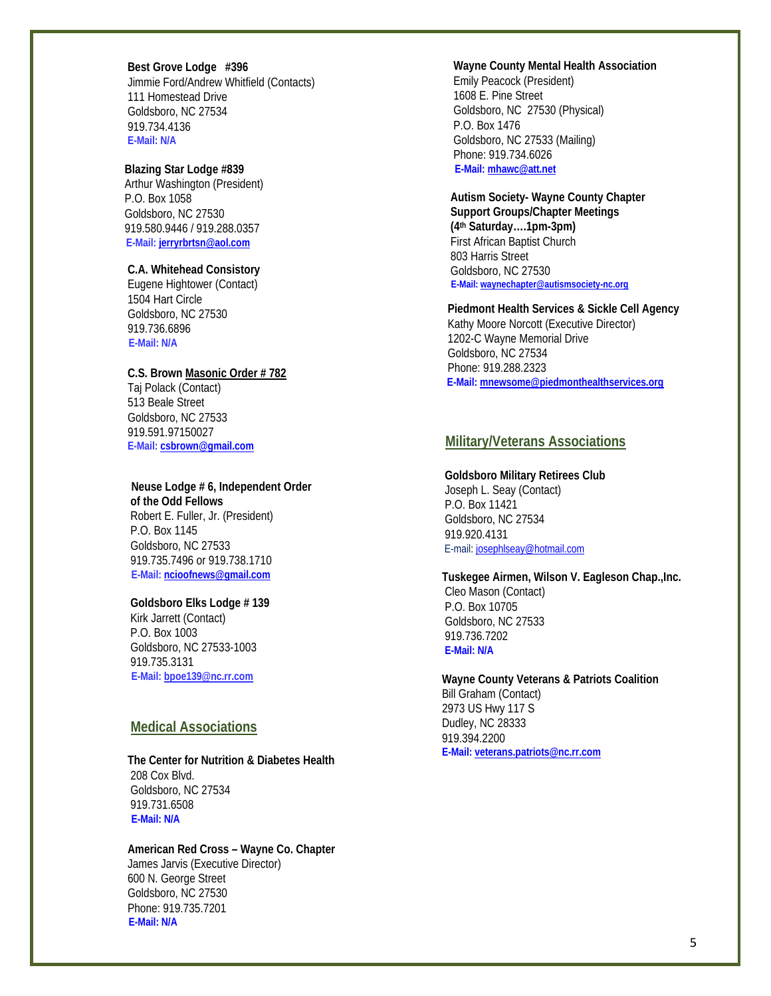**Best Grove Lodge #396** Jimmie Ford/Andrew Whitfield (Contacts) 111 Homestead Drive Goldsboro, NC 27534 919.734.4136 **E-Mail: N/A**

#### **Blazing Star Lodge #839**

 Arthur Washington (President) P.O. Box 1058 Goldsboro, NC 27530 919.580.9446 / 919.288.0357  **E-Mail[: jerryrbrtsn@aol.com](mailto:jerryrbrtsn@aol.com)**

## **C.A. Whitehead Consistory**

 Eugene Hightower (Contact) 1504 Hart Circle Goldsboro, NC 27530 919.736.6896  **E-Mail: N/A**

#### **C.S. Brown Masonic Order # 782**

 Taj Polack (Contact) 513 Beale Street Goldsboro, NC 27533 919.591.97150027 **E-Mail[: csbrown@gmail.com](mailto:csbrown@gmail.com)**

 **Neuse Lodge # 6, Independent Order of the Odd Fellows**

 Robert E. Fuller, Jr. (President) P.O. Box 1145 Goldsboro, NC 27533 919.735.7496 or 919.738.1710  **E-Mail[: ncioofnews@gmail.com](mailto:ncioofnews@gmail.com)** 

#### **Goldsboro Elks Lodge # 139**

 Kirk Jarrett (Contact) P.O. Box 1003 Goldsboro, NC 27533-1003 919.735.3131  **E-Mail[: bpoe139@nc.rr.com](mailto:bpoe139@nc.rr.com)**

# **Medical Associations**

#### **The Center for Nutrition & Diabetes Health** 208 Cox Blvd.

 Goldsboro, NC 27534 919.731.6508  **E-Mail: N/A** 

## **American Red Cross – Wayne Co. Chapter**

 James Jarvis (Executive Director) 600 N. George Street Goldsboro, NC 27530 Phone: 919.735.7201  **E-Mail: N/A**

## **Wayne County Mental Health Association**

 Emily Peacock (President) 1608 E. Pine Street Goldsboro, NC 27530 (Physical) P.O. Box 1476 Goldsboro, NC 27533 (Mailing) Phone: 919.734.6026  **E-Mail[: mhawc@att.net](mailto:mhawc@att.net)**

 **Autism Society- Wayne County Chapter Support Groups/Chapter Meetings (4th Saturday….1pm-3pm)** First African Baptist Church 803 Harris Street Goldsboro, NC 27530 **E-Mail[: waynechapter@autismsociety-nc.org](mailto:waynechapter@autismsociety-nc.org)**

 **Piedmont Health Services & Sickle Cell Agency** Kathy Moore Norcott (Executive Director) 1202-C Wayne Memorial Drive Goldsboro, NC 27534 Phone: 919.288.2323  **E-Mail: [mnewsome@piedmonthealthservices.org](mailto:mnewsome@piedmonthealthservices.org)**

## **Military/Veterans Associations**

#### **Goldsboro Military Retirees Club**

Joseph L. Seay (Contact) P.O. Box 11421 Goldsboro, NC 27534 919.920.4131 E-mail[: josephlseay@hotmail.com](mailto:josephlseay@hotmail.com)

#### **Tuskegee Airmen, Wilson V. Eagleson Chap.,Inc.**

Cleo Mason (Contact) P.O. Box 10705 Goldsboro, NC 27533 919.736.7202 **E-Mail: N/A**

**Wayne County Veterans & Patriots Coalition** Bill Graham (Contact) 2973 US Hwy 117 S Dudley, NC 28333 919.394.2200

**E-Mail: [veterans.patriots@nc.rr.com](mailto:veterans.patriots@nc.rr.com)**